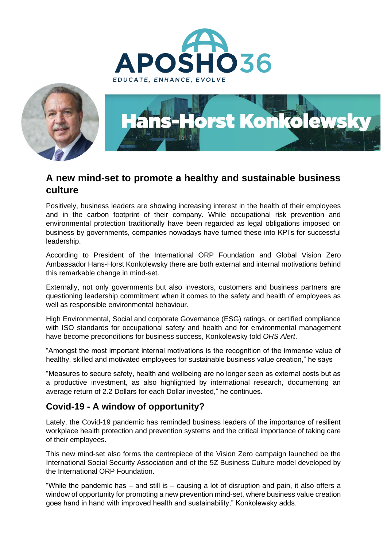





## **A new mind-set to promote a healthy and sustainable business culture**

Positively, business leaders are showing increasing interest in the health of their employees and in the carbon footprint of their company. While occupational risk prevention and environmental protection traditionally have been regarded as legal obligations imposed on business by governments, companies nowadays have turned these into KPI's for successful leadership.

According to President of the International ORP Foundation and Global Vision Zero Ambassador Hans-Horst Konkolewsky there are both external and internal motivations behind this remarkable change in mind-set.

Externally, not only governments but also investors, customers and business partners are questioning leadership commitment when it comes to the safety and health of employees as well as responsible environmental behaviour.

High Environmental, Social and corporate Governance (ESG) ratings, or certified compliance with ISO standards for occupational safety and health and for environmental management have become preconditions for business success, Konkolewsky told *OHS Alert*.

"Amongst the most important internal motivations is the recognition of the immense value of healthy, skilled and motivated employees for sustainable business value creation," he says

"Measures to secure safety, health and wellbeing are no longer seen as external costs but as a productive investment, as also highlighted by international research, documenting an average return of 2.2 Dollars for each Dollar invested," he continues.

## **Covid-19 - A window of opportunity?**

Lately, the Covid-19 pandemic has reminded business leaders of the importance of resilient workplace health protection and prevention systems and the critical importance of taking care of their employees.

This new mind-set also forms the centrepiece of the Vision Zero campaign launched be the International Social Security Association and of the 5Z Business Culture model developed by the International ORP Foundation.

"While the pandemic has – and still is – causing a lot of disruption and pain, it also offers a window of opportunity for promoting a new prevention mind-set, where business value creation goes hand in hand with improved health and sustainability," Konkolewsky adds.